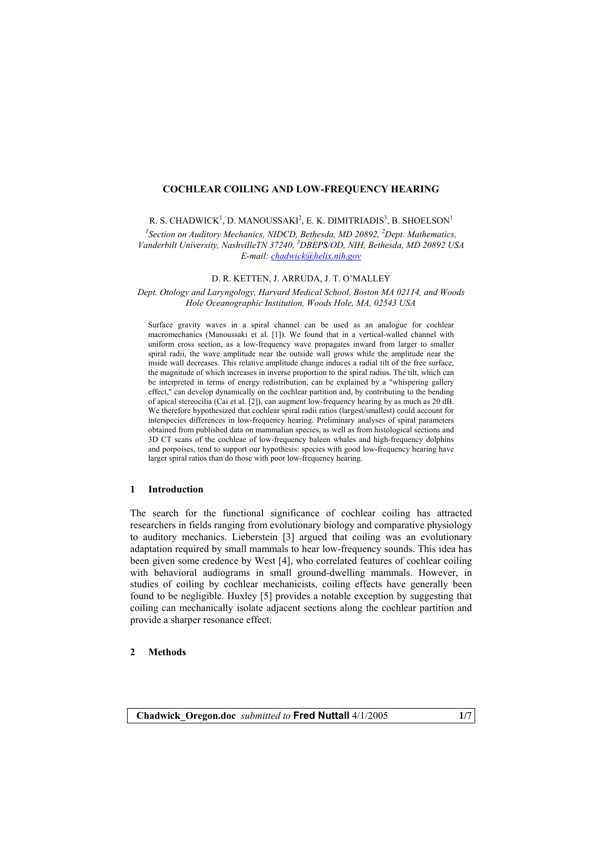## **COCHLEAR COILING AND LOW-FREQUENCY HEARING**

R. S. CHADWICK<sup>1</sup>, D. MANOUSSAKI<sup>2</sup>, E. K. DIMITRIADIS<sup>3</sup>, B. SHOELSON<sup>1</sup>

<sup>1</sup> Section on Auditory Mechanics, NIDCD, Bethesda, MD 20892, <sup>2</sup>Dept. Mathematics, *Vanderbilt University, NashvilleTN 37240, 3 DBEPS/OD, NIH, Bethesda, MD 20892 USA E-mail: [chadwick@helix.nih.gov](mailto:chadwick@helix.nih.gov)*

D. R. KETTEN, J. ARRUDA, J. T. O'MALLEY

*Dept. Otology and Laryngology, Harvard Medical School, Boston MA 02114, and Woods Hole Oceanographic Institution, Woods Hole, MA, 02543 USA* 

Surface gravity waves in a spiral channel can be used as an analogue for cochlear macromechanics (Manoussaki et al. [1]). We found that in a vertical-walled channel with uniform cross section, as a low-frequency wave propagates inward from larger to smaller spiral radii, the wave amplitude near the outside wall grows while the amplitude near the inside wall decreases. This relative amplitude change induces a radial tilt of the free surface, the magnitude of which increases in inverse proportion to the spiral radius. The tilt, which can be interpreted in terms of energy redistribution, can be explained by a "whispering gallery effect," can develop dynamically on the cochlear partition and, by contributing to the bending of apical stereocilia (Cai et al. [2]), can augment low-frequency hearing by as much as 20 dB. We therefore hypothesized that cochlear spiral radii ratios (largest/smallest) could account for interspecies differences in low-frequency hearing. Preliminary analyses of spiral parameters obtained from published data on mammalian species, as well as from histological sections and 3D CT scans of the cochleae of low-frequency baleen whales and high-frequency dolphins and porpoises, tend to support our hypothesis: species with good low-frequency hearing have larger spiral ratios than do those with poor low-frequency hearing.

## **1 Introduction**

The search for the functional significance of cochlear coiling has attracted researchers in fields ranging from evolutionary biology and comparative physiology to auditory mechanics. Lieberstein [3] argued that coiling was an evolutionary adaptation required by small mammals to hear low-frequency sounds. This idea has been given some credence by West [4], who correlated features of cochlear coiling with behavioral audiograms in small ground-dwelling mammals. However, in studies of coiling by cochlear mechanicists, coiling effects have generally been found to be negligible. Huxley [5] provides a notable exception by suggesting that coiling can mechanically isolate adjacent sections along the cochlear partition and provide a sharper resonance effect.

### **2 Methods**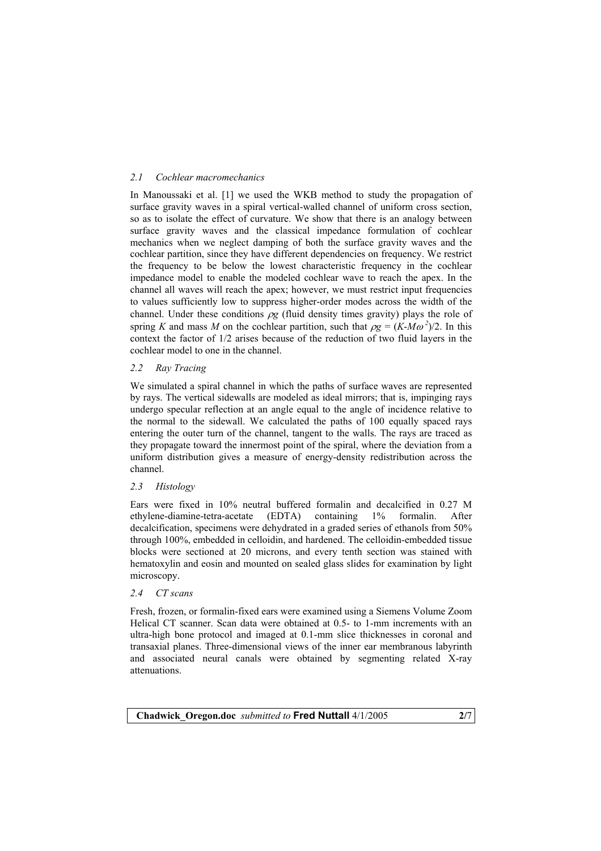# *2.1 Cochlear macromechanics*

In Manoussaki et al. [1] we used the WKB method to study the propagation of surface gravity waves in a spiral vertical-walled channel of uniform cross section, so as to isolate the effect of curvature. We show that there is an analogy between surface gravity waves and the classical impedance formulation of cochlear mechanics when we neglect damping of both the surface gravity waves and the cochlear partition, since they have different dependencies on frequency. We restrict the frequency to be below the lowest characteristic frequency in the cochlear impedance model to enable the modeled cochlear wave to reach the apex. In the channel all waves will reach the apex; however, we must restrict input frequencies to values sufficiently low to suppress higher-order modes across the width of the channel. Under these conditions  $\rho g$  (fluid density times gravity) plays the role of spring *K* and mass *M* on the cochlear partition, such that  $\rho g = (K - M\omega^2)/2$ . In this context the factor of 1/2 arises because of the reduction of two fluid layers in the cochlear model to one in the channel.

# *2.2 Ray Tracing*

We simulated a spiral channel in which the paths of surface waves are represented by rays. The vertical sidewalls are modeled as ideal mirrors; that is, impinging rays undergo specular reflection at an angle equal to the angle of incidence relative to the normal to the sidewall. We calculated the paths of 100 equally spaced rays entering the outer turn of the channel, tangent to the walls. The rays are traced as they propagate toward the innermost point of the spiral, where the deviation from a uniform distribution gives a measure of energy-density redistribution across the channel.

## *2.3 Histology*

Ears were fixed in 10% neutral buffered formalin and decalcified in 0.27 M ethylene-diamine-tetra-acetate (EDTA) containing 1% formalin. After decalcification, specimens were dehydrated in a graded series of ethanols from 50% through 100%, embedded in celloidin, and hardened. The celloidin-embedded tissue blocks were sectioned at 20 microns, and every tenth section was stained with hematoxylin and eosin and mounted on sealed glass slides for examination by light microscopy.

# *2.4 CT scans*

Fresh, frozen, or formalin-fixed ears were examined using a Siemens Volume Zoom Helical CT scanner. Scan data were obtained at 0.5- to 1-mm increments with an ultra-high bone protocol and imaged at 0.1-mm slice thicknesses in coronal and transaxial planes. Three-dimensional views of the inner ear membranous labyrinth and associated neural canals were obtained by segmenting related X-ray attenuations.

**Chadwick\_Oregon.doc** *submitted to* **Fred Nuttall** 4/1/2005 **2/**7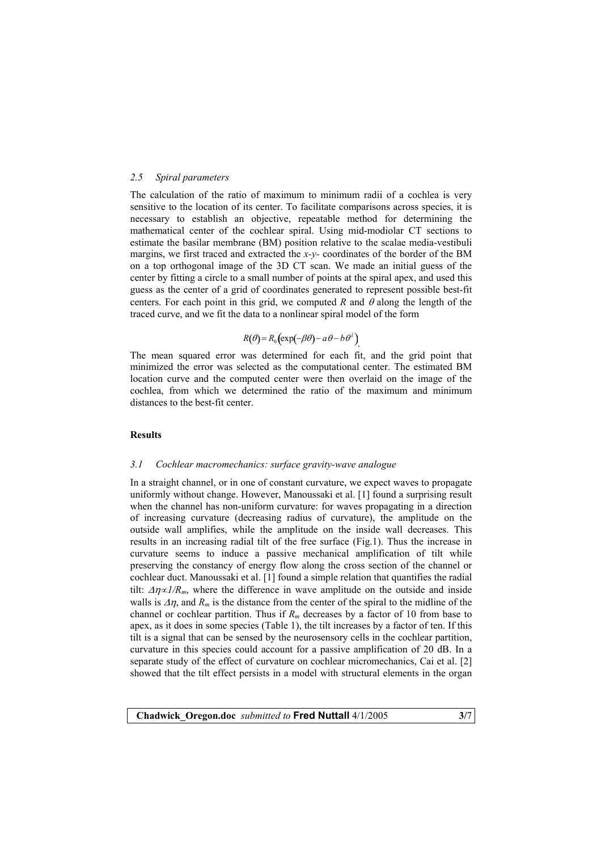### *2.5 Spiral parameters*

The calculation of the ratio of maximum to minimum radii of a cochlea is very sensitive to the location of its center. To facilitate comparisons across species, it is necessary to establish an objective, repeatable method for determining the mathematical center of the cochlear spiral. Using mid-modiolar CT sections to estimate the basilar membrane (BM) position relative to the scalae media-vestibuli margins, we first traced and extracted the *x-y-* coordinates of the border of the BM on a top orthogonal image of the 3D CT scan. We made an initial guess of the center by fitting a circle to a small number of points at the spiral apex, and used this guess as the center of a grid of coordinates generated to represent possible best-fit centers. For each point in this grid, we computed *R* and  $\theta$  along the length of the traced curve, and we fit the data to a nonlinear spiral model of the form

# $R(\theta) = R_0 \left( \exp(-\beta \theta) - a\theta - b\theta^2 \right)$ .

The mean squared error was determined for each fit, and the grid point that minimized the error was selected as the computational center. The estimated BM location curve and the computed center were then overlaid on the image of the cochlea, from which we determined the ratio of the maximum and minimum distances to the best-fit center.

### **Results**

#### *3.1 Cochlear macromechanics: surface gravity-wave analogue*

In a straight channel, or in one of constant curvature, we expect waves to propagate uniformly without change. However, Manoussaki et al. [1] found a surprising result when the channel has non-uniform curvature: for waves propagating in a direction of increasing curvature (decreasing radius of curvature), the amplitude on the outside wall amplifies, while the amplitude on the inside wall decreases. This results in an increasing radial tilt of the free surface (Fig.1). Thus the increase in curvature seems to induce a passive mechanical amplification of tilt while preserving the constancy of energy flow along the cross section of the channel or cochlear duct. Manoussaki et al. [1] found a simple relation that quantifies the radial tilt:  $\Delta \eta \propto I/R_m$ , where the difference in wave amplitude on the outside and inside walls is  $\Delta \eta$ , and  $R_m$  is the distance from the center of the spiral to the midline of the channel or cochlear partition. Thus if  $R_m$  decreases by a factor of 10 from base to apex, as it does in some species (Table 1), the tilt increases by a factor of ten. If this tilt is a signal that can be sensed by the neurosensory cells in the cochlear partition, curvature in this species could account for a passive amplification of 20 dB. In a separate study of the effect of curvature on cochlear micromechanics, Cai et al. [2] showed that the tilt effect persists in a model with structural elements in the organ

**Chadwick\_Oregon.doc** *submitted to* **Fred Nuttall** 4/1/2005 **3/**7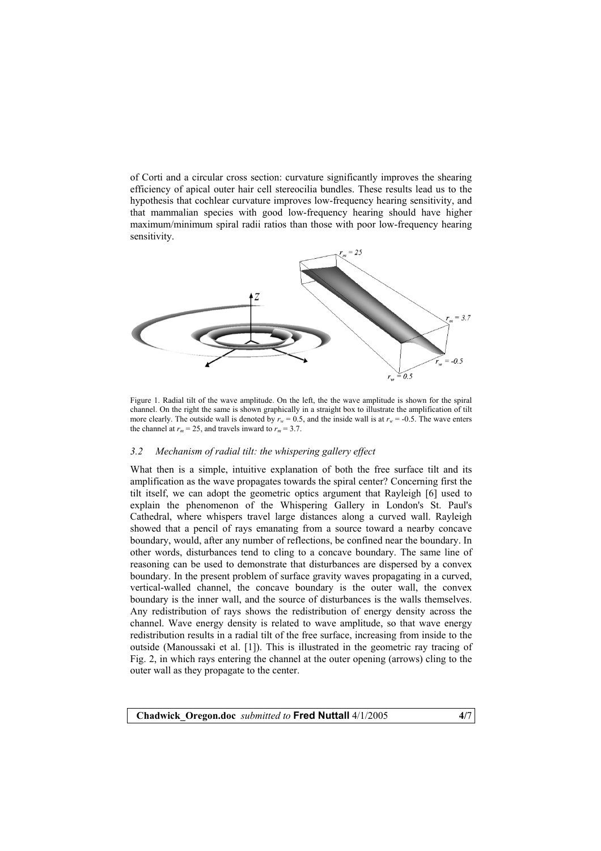of Corti and a circular cross section: curvature significantly improves the shearing efficiency of apical outer hair cell stereocilia bundles. These results lead us to the hypothesis that cochlear curvature improves low-frequency hearing sensitivity, and that mammalian species with good low-frequency hearing should have higher maximum/minimum spiral radii ratios than those with poor low-frequency hearing sensitivity.



Figure 1. Radial tilt of the wave amplitude. On the left, the the wave amplitude is shown for the spiral channel. On the right the same is shown graphically in a straight box to illustrate the amplification of tilt more clearly. The outside wall is denoted by  $r_w = 0.5$ , and the inside wall is at  $r_w = -0.5$ . The wave enters the channel at  $r_m = 25$ , and travels inward to  $r_m = 3.7$ .

# *3.2 Mechanism of radial tilt: the whispering gallery effect*

What then is a simple, intuitive explanation of both the free surface tilt and its amplification as the wave propagates towards the spiral center? Concerning first the tilt itself, we can adopt the geometric optics argument that Rayleigh [6] used to explain the phenomenon of the Whispering Gallery in London's St. Paul's Cathedral, where whispers travel large distances along a curved wall. Rayleigh showed that a pencil of rays emanating from a source toward a nearby concave boundary, would, after any number of reflections, be confined near the boundary. In other words, disturbances tend to cling to a concave boundary. The same line of reasoning can be used to demonstrate that disturbances are dispersed by a convex boundary. In the present problem of surface gravity waves propagating in a curved, vertical-walled channel, the concave boundary is the outer wall, the convex boundary is the inner wall, and the source of disturbances is the walls themselves. Any redistribution of rays shows the redistribution of energy density across the channel. Wave energy density is related to wave amplitude, so that wave energy redistribution results in a radial tilt of the free surface, increasing from inside to the outside (Manoussaki et al. [1]). This is illustrated in the geometric ray tracing of Fig. 2, in which rays entering the channel at the outer opening (arrows) cling to the outer wall as they propagate to the center.

**Chadwick\_Oregon.doc** *submitted to* **Fred Nuttall** 4/1/2005 **4/**7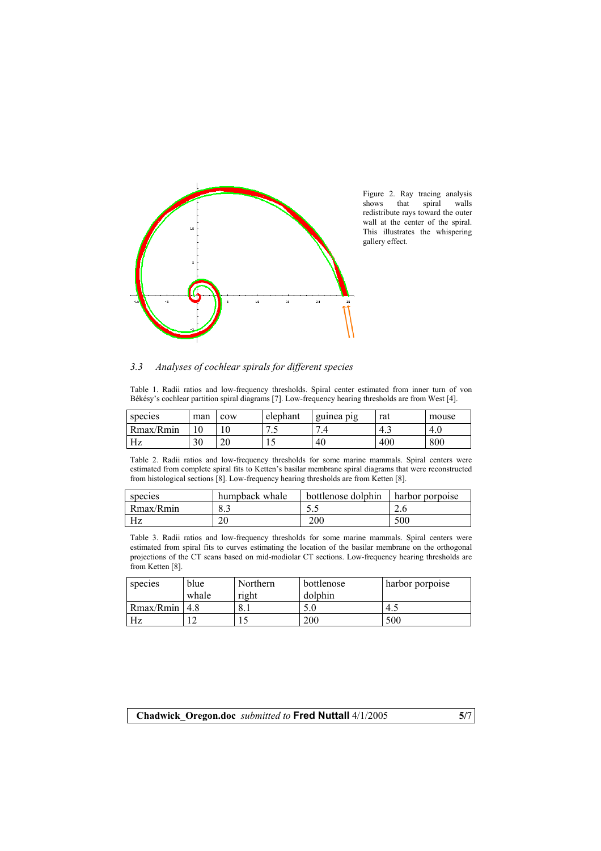

Figure 2. Ray tracing analysis shows that spiral walls redistribute rays toward the outer wall at the center of the spiral. This illustrates the whispering gallery effect.

# *3.3 Analyses of cochlear spirals for different species*

Table 1. Radii ratios and low-frequency thresholds. Spiral center estimated from inner turn of von Békésy's cochlear partition spiral diagrams [7]. Low-frequency hearing thresholds are from West [4].

| species   | man | cow      | elephant             | guinea pig | rat | mouse |
|-----------|-----|----------|----------------------|------------|-----|-------|
| Rmax/Rmin | 10  | ◡        | $\ddot{\phantom{0}}$ | −          | 4.1 | 4.0   |
| Hz        | 30  | oc<br>∠∪ |                      | 40         | 400 | 800   |

Table 2. Radii ratios and low-frequency thresholds for some marine mammals. Spiral centers were estimated from complete spiral fits to Ketten's basilar membrane spiral diagrams that were reconstructed from histological sections [8]. Low-frequency hearing thresholds are from Ketten [8].

| species   | humpback whale | bottlenose dolphin | harbor porpoise |
|-----------|----------------|--------------------|-----------------|
| Rmax/Rmin | 8.3            | ن د                |                 |
| Hz        | Ωſ             | 200                | 500             |

Table 3. Radii ratios and low-frequency thresholds for some marine mammals. Spiral centers were estimated from spiral fits to curves estimating the location of the basilar membrane on the orthogonal projections of the CT scans based on mid-modiolar CT sections. Low-frequency hearing thresholds are from Ketten [8].

| species           | blue  | Northern | bottlenose | harbor porpoise |
|-------------------|-------|----------|------------|-----------------|
|                   | whale | right    | dolphin    |                 |
| $Rmax/Rmin$   4.8 |       | Ω<br>0.1 | 5.0        | 4.1             |
| Hz                | 1 ^   |          | 200        | 500             |

**Chadwick\_Oregon.doc** *submitted to* **Fred Nuttall** 4/1/2005 **5/**7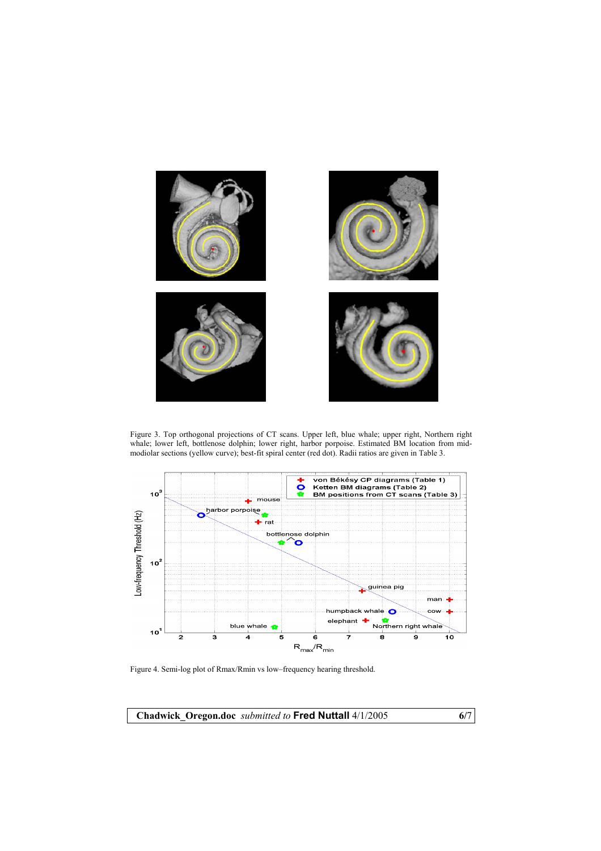

Figure 3. Top orthogonal projections of CT scans. Upper left, blue whale; upper right, Northern right whale; lower left, bottlenose dolphin; lower right, harbor porpoise. Estimated BM location from midmodiolar sections (yellow curve); best-fit spiral center (red dot). Radii ratios are given in Table 3.



Figure 4. Semi-log plot of Rmax/Rmin vs low–frequency hearing threshold.

**Chadwick\_Oregon.doc** *submitted to* **Fred Nuttall** 4/1/2005 **6/**7